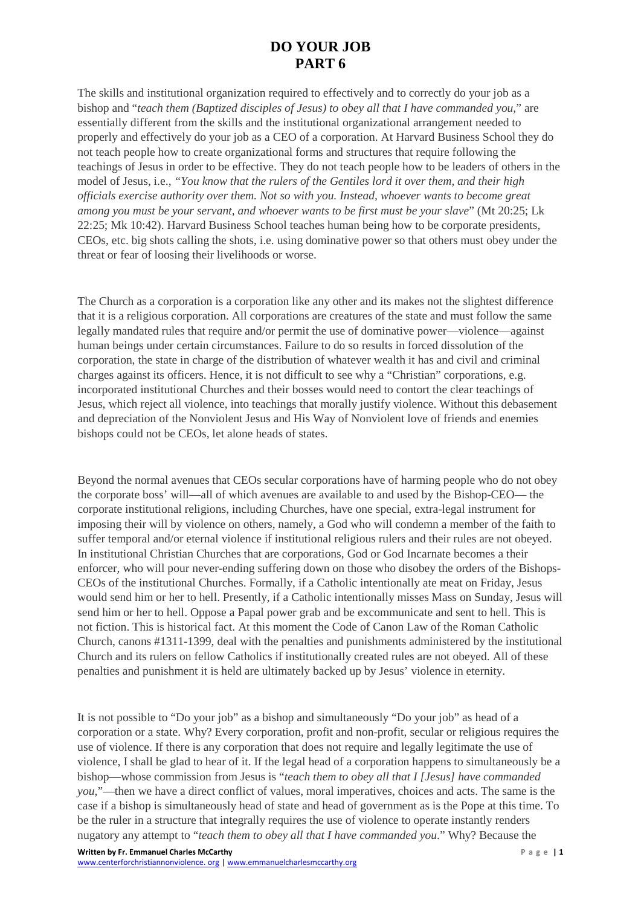## **DO YOUR JOB PART 6**

The skills and institutional organization required to effectively and to correctly do your job as a bishop and "*teach them (Baptized disciples of Jesus) to obey all that I have commanded you,*" are essentially different from the skills and the institutional organizational arrangement needed to properly and effectively do your job as a CEO of a corporation. At Harvard Business School they do not teach people how to create organizational forms and structures that require following the teachings of Jesus in order to be effective. They do not teach people how to be leaders of others in the model of Jesus, i.e., *"You know that the rulers of the Gentiles lord it over them, and their high officials exercise authority over them. Not so with you. Instead, whoever wants to become great among you must be your servant, and whoever wants to be first must be your slave*" (Mt 20:25; Lk 22:25; Mk 10:42). Harvard Business School teaches human being how to be corporate presidents, CEOs, etc. big shots calling the shots, i.e. using dominative power so that others must obey under the threat or fear of loosing their livelihoods or worse.

The Church as a corporation is a corporation like any other and its makes not the slightest difference that it is a religious corporation. All corporations are creatures of the state and must follow the same legally mandated rules that require and/or permit the use of dominative power—violence—against human beings under certain circumstances. Failure to do so results in forced dissolution of the corporation, the state in charge of the distribution of whatever wealth it has and civil and criminal charges against its officers. Hence, it is not difficult to see why a "Christian" corporations, e.g. incorporated institutional Churches and their bosses would need to contort the clear teachings of Jesus, which reject all violence, into teachings that morally justify violence. Without this debasement and depreciation of the Nonviolent Jesus and His Way of Nonviolent love of friends and enemies bishops could not be CEOs, let alone heads of states.

Beyond the normal avenues that CEOs secular corporations have of harming people who do not obey the corporate boss' will—all of which avenues are available to and used by the Bishop-CEO— the corporate institutional religions, including Churches, have one special, extra-legal instrument for imposing their will by violence on others, namely, a God who will condemn a member of the faith to suffer temporal and/or eternal violence if institutional religious rulers and their rules are not obeyed. In institutional Christian Churches that are corporations, God or God Incarnate becomes a their enforcer, who will pour never-ending suffering down on those who disobey the orders of the Bishops-CEOs of the institutional Churches. Formally, if a Catholic intentionally ate meat on Friday, Jesus would send him or her to hell. Presently, if a Catholic intentionally misses Mass on Sunday, Jesus will send him or her to hell. Oppose a Papal power grab and be excommunicate and sent to hell. This is not fiction. This is historical fact. At this moment the Code of Canon Law of the Roman Catholic Church, canons #1311-1399, deal with the penalties and punishments administered by the institutional Church and its rulers on fellow Catholics if institutionally created rules are not obeyed. All of these penalties and punishment it is held are ultimately backed up by Jesus' violence in eternity.

It is not possible to "Do your job" as a bishop and simultaneously "Do your job" as head of a corporation or a state. Why? Every corporation, profit and non-profit, secular or religious requires the use of violence. If there is any corporation that does not require and legally legitimate the use of violence, I shall be glad to hear of it. If the legal head of a corporation happens to simultaneously be a bishop—whose commission from Jesus is "*teach them to obey all that I [Jesus] have commanded you*,"—then we have a direct conflict of values, moral imperatives, choices and acts. The same is the case if a bishop is simultaneously head of state and head of government as is the Pope at this time. To be the ruler in a structure that integrally requires the use of violence to operate instantly renders nugatory any attempt to "*teach them to obey all that I have commanded you*." Why? Because the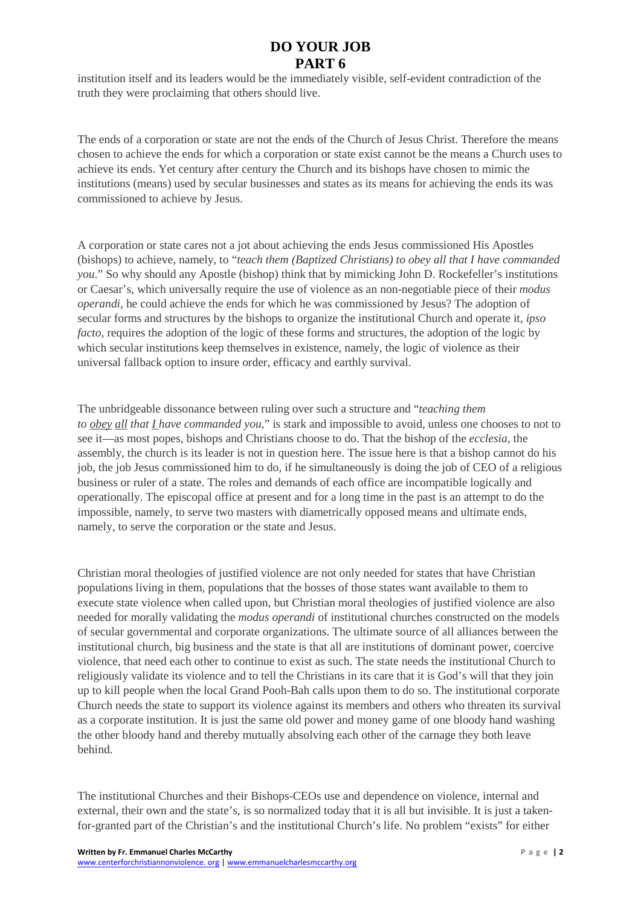## **DO YOUR JOB PART 6**

institution itself and its leaders would be the immediately visible, self-evident contradiction of the truth they were proclaiming that others should live.

The ends of a corporation or state are not the ends of the Church of Jesus Christ. Therefore the means chosen to achieve the ends for which a corporation or state exist cannot be the means a Church uses to achieve its ends. Yet century after century the Church and its bishops have chosen to mimic the institutions (means) used by secular businesses and states as its means for achieving the ends its was commissioned to achieve by Jesus.

A corporation or state cares not a jot about achieving the ends Jesus commissioned His Apostles (bishops) to achieve, namely, to "*teach them (Baptized Christians) to obey all that I have commanded you*." So why should any Apostle (bishop) think that by mimicking John D. Rockefeller's institutions or Caesar's, which universally require the use of violence as an non-negotiable piece of their *modus operandi*, he could achieve the ends for which he was commissioned by Jesus? The adoption of secular forms and structures by the bishops to organize the institutional Church and operate it, *ipso facto*, requires the adoption of the logic of these forms and structures, the adoption of the logic by which secular institutions keep themselves in existence, namely, the logic of violence as their universal fallback option to insure order, efficacy and earthly survival.

The unbridgeable dissonance between ruling over such a structure and "*teaching them to obey all that I have commanded you*," is stark and impossible to avoid, unless one chooses to not to see it—as most popes, bishops and Christians choose to do. That the bishop of the *ecclesia*, the assembly, the church is its leader is not in question here. The issue here is that a bishop cannot do his job, the job Jesus commissioned him to do, if he simultaneously is doing the job of CEO of a religious business or ruler of a state. The roles and demands of each office are incompatible logically and operationally. The episcopal office at present and for a long time in the past is an attempt to do the impossible, namely, to serve two masters with diametrically opposed means and ultimate ends, namely, to serve the corporation or the state and Jesus.

Christian moral theologies of justified violence are not only needed for states that have Christian populations living in them, populations that the bosses of those states want available to them to execute state violence when called upon, but Christian moral theologies of justified violence are also needed for morally validating the *modus operandi* of institutional churches constructed on the models of secular governmental and corporate organizations. The ultimate source of all alliances between the institutional church, big business and the state is that all are institutions of dominant power, coercive violence, that need each other to continue to exist as such. The state needs the institutional Church to religiously validate its violence and to tell the Christians in its care that it is God's will that they join up to kill people when the local Grand Pooh-Bah calls upon them to do so. The institutional corporate Church needs the state to support its violence against its members and others who threaten its survival as a corporate institution. It is just the same old power and money game of one bloody hand washing the other bloody hand and thereby mutually absolving each other of the carnage they both leave behind.

The institutional Churches and their Bishops-CEOs use and dependence on violence, internal and external, their own and the state's, is so normalized today that it is all but invisible. It is just a takenfor-granted part of the Christian's and the institutional Church's life. No problem "exists" for either